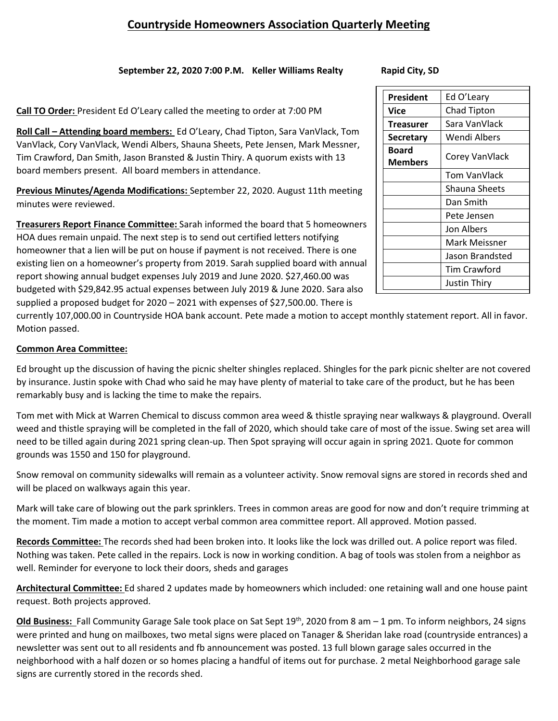## **Countryside Homeowners Association Quarterly Meeting**

### **September 22, 2020 7:00 P.M. Keller Williams Realty Rapid City, SD**

**Call TO Order:** President Ed O'Leary called the meeting to order at 7:00 PM

**Roll Call – Attending board members:** Ed O'Leary, Chad Tipton, Sara VanVlack, Tom VanVlack, Cory VanVlack, Wendi Albers, Shauna Sheets, Pete Jensen, Mark Messner, Tim Crawford, Dan Smith, Jason Bransted & Justin Thiry. A quorum exists with 13 board members present. All board members in attendance.

**Previous Minutes/Agenda Modifications:** September 22, 2020. August 11th meeting minutes were reviewed.

**Treasurers Report Finance Committee:** Sarah informed the board that 5 homeowners HOA dues remain unpaid. The next step is to send out certified letters notifying homeowner that a lien will be put on house if payment is not received. There is one existing lien on a homeowner's property from 2019. Sarah supplied board with annual report showing annual budget expenses July 2019 and June 2020. \$27,460.00 was budgeted with \$29,842.95 actual expenses between July 2019 & June 2020. Sara also supplied a proposed budget for 2020 – 2021 with expenses of \$27,500.00. There is

currently 107,000.00 in Countryside HOA bank account. Pete made a motion to accept monthly statement report. All in favor. Motion passed.

### **Common Area Committee:**

Ed brought up the discussion of having the picnic shelter shingles replaced. Shingles for the park picnic shelter are not covered by insurance. Justin spoke with Chad who said he may have plenty of material to take care of the product, but he has been remarkably busy and is lacking the time to make the repairs.

Tom met with Mick at Warren Chemical to discuss common area weed & thistle spraying near walkways & playground. Overall weed and thistle spraying will be completed in the fall of 2020, which should take care of most of the issue. Swing set area will need to be tilled again during 2021 spring clean-up. Then Spot spraying will occur again in spring 2021. Quote for common grounds was 1550 and 150 for playground.

Snow removal on community sidewalks will remain as a volunteer activity. Snow removal signs are stored in records shed and will be placed on walkways again this year.

Mark will take care of blowing out the park sprinklers. Trees in common areas are good for now and don't require trimming at the moment. Tim made a motion to accept verbal common area committee report. All approved. Motion passed.

**Records Committee:** The records shed had been broken into. It looks like the lock was drilled out. A police report was filed. Nothing was taken. Pete called in the repairs. Lock is now in working condition. A bag of tools was stolen from a neighbor as well. Reminder for everyone to lock their doors, sheds and garages

**Architectural Committee:** Ed shared 2 updates made by homeowners which included: one retaining wall and one house paint request. Both projects approved.

**Old Business:** Fall Community Garage Sale took place on Sat Sept 19th, 2020 from 8 am – 1 pm. To inform neighbors, 24 signs were printed and hung on mailboxes, two metal signs were placed on Tanager & Sheridan lake road (countryside entrances) a newsletter was sent out to all residents and fb announcement was posted. 13 full blown garage sales occurred in the neighborhood with a half dozen or so homes placing a handful of items out for purchase. 2 metal Neighborhood garage sale signs are currently stored in the records shed.

| President               | Ed O'Leary         |
|-------------------------|--------------------|
| Vice                    | <b>Chad Tipton</b> |
| Treasurer               | Sara VanVlack      |
| <b>Secretary</b>        | Wendi Albers       |
| Board<br><b>Members</b> | Corey VanVlack     |
|                         | Tom VanVlack       |
|                         | Shauna Sheets      |
|                         | Dan Smith          |
|                         | Pete Jensen        |
|                         | Jon Albers         |
|                         | Mark Meissner      |
|                         | Jason Brandsted    |
|                         | Tim Crawford       |
|                         | Justin Thiry       |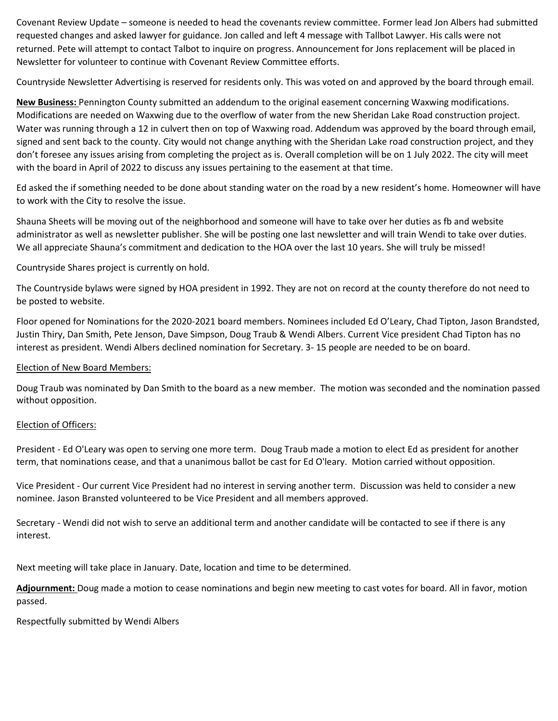Covenant Review Update – someone is needed to head the covenants review committee. Former lead Jon Albers had submitted requested changes and asked lawyer for guidance. Jon called and left 4 message with Tallbot Lawyer. His calls were not returned. Pete will attempt to contact Talbot to inquire on progress. Announcement for Jons replacement will be placed in Newsletter for volunteer to continue with Covenant Review Committee efforts.

Countryside Newsletter Advertising is reserved for residents only. This was voted on and approved by the board through email.

**New Business:** Pennington County submitted an addendum to the original easement concerning Waxwing modifications. Modifications are needed on Waxwing due to the overflow of water from the new Sheridan Lake Road construction project. Water was running through a 12 in culvert then on top of Waxwing road. Addendum was approved by the board through email, signed and sent back to the county. City would not change anything with the Sheridan Lake road construction project, and they don't foresee any issues arising from completing the project as is. Overall completion will be on 1 July 2022. The city will meet with the board in April of 2022 to discuss any issues pertaining to the easement at that time.

Ed asked the if something needed to be done about standing water on the road by a new resident's home. Homeowner will have to work with the City to resolve the issue.

Shauna Sheets will be moving out of the neighborhood and someone will have to take over her duties as fb and website administrator as well as newsletter publisher. She will be posting one last newsletter and will train Wendi to take over duties. We all appreciate Shauna's commitment and dedication to the HOA over the last 10 years. She will truly be missed!

Countryside Shares project is currently on hold.

The Countryside bylaws were signed by HOA president in 1992. They are not on record at the county therefore do not need to be posted to website.

Floor opened for Nominations for the 2020-2021 board members. Nominees included Ed O'Leary, Chad Tipton, Jason Brandsted, Justin Thiry, Dan Smith, Pete Jenson, Dave Simpson, Doug Traub & Wendi Albers. Current Vice president Chad Tipton has no interest as president. Wendi Albers declined nomination for Secretary. 3- 15 people are needed to be on board.

### Election of New Board Members:

Doug Traub was nominated by Dan Smith to the board as a new member. The motion was seconded and the nomination passed without opposition.

### Election of Officers:

President - Ed O'Leary was open to serving one more term. Doug Traub made a motion to elect Ed as president for another term, that nominations cease, and that a unanimous ballot be cast for Ed O'leary. Motion carried without opposition.

Vice President - Our current Vice President had no interest in serving another term. Discussion was held to consider a new nominee. Jason Bransted volunteered to be Vice President and all members approved.

Secretary - Wendi did not wish to serve an additional term and another candidate will be contacted to see if there is any interest.

Next meeting will take place in January. Date, location and time to be determined.

**Adjournment:** Doug made a motion to cease nominations and begin new meeting to cast votes for board. All in favor, motion passed.

Respectfully submitted by Wendi Albers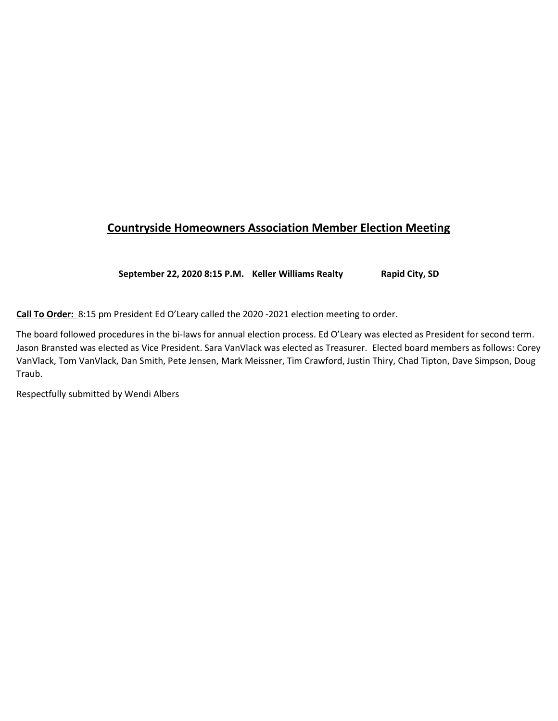# **Countryside Homeowners Association Member Election Meeting**

**September 22, 2020 8:15 P.M. Keller Williams Realty Rapid City, SD**

**Call To Order:** 8:15 pm President Ed O'Leary called the 2020 -2021 election meeting to order.

The board followed procedures in the bi-laws for annual election process. Ed O'Leary was elected as President for second term. Jason Bransted was elected as Vice President. Sara VanVlack was elected as Treasurer. Elected board members as follows: Corey VanVlack, Tom VanVlack, Dan Smith, Pete Jensen, Mark Meissner, Tim Crawford, Justin Thiry, Chad Tipton, Dave Simpson, Doug Traub.

Respectfully submitted by Wendi Albers